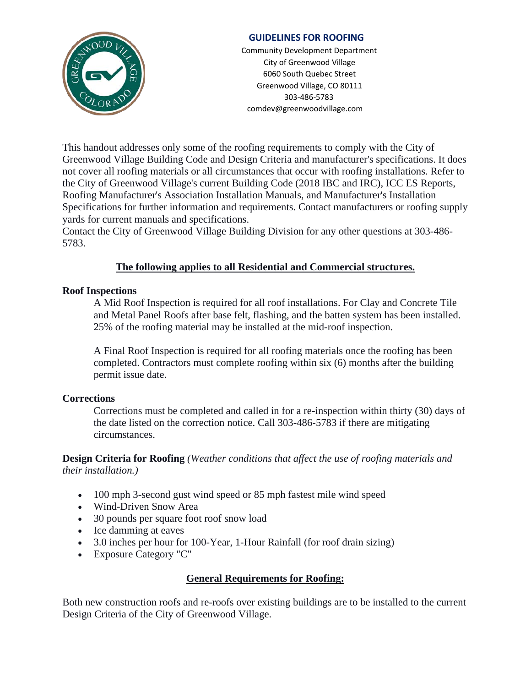

## **GUIDELINES FOR ROOFING**

Community Development Department City of Greenwood Village 6060 South Quebec Street Greenwood Village, CO 80111 303-486-5783 comdev@greenwoodvillage.com

This handout addresses only some of the roofing requirements to comply with the City of Greenwood Village Building Code and Design Criteria and manufacturer's specifications. It does not cover all roofing materials or all circumstances that occur with roofing installations. Refer to the City of Greenwood Village's current Building Code (2018 IBC and IRC), ICC ES Reports, Roofing Manufacturer's Association Installation Manuals, and Manufacturer's Installation Specifications for further information and requirements. Contact manufacturers or roofing supply yards for current manuals and specifications.

Contact the City of Greenwood Village Building Division for any other questions at 303-486- 5783.

# **The following applies to all Residential and Commercial structures.**

### **Roof Inspections**

A Mid Roof Inspection is required for all roof installations. For Clay and Concrete Tile and Metal Panel Roofs after base felt, flashing, and the batten system has been installed. 25% of the roofing material may be installed at the mid-roof inspection.

A Final Roof Inspection is required for all roofing materials once the roofing has been completed. Contractors must complete roofing within six (6) months after the building permit issue date.

### **Corrections**

Corrections must be completed and called in for a re-inspection within thirty (30) days of the date listed on the correction notice. Call 303-486-5783 if there are mitigating circumstances.

**Design Criteria for Roofing** *(Weather conditions that affect the use of roofing materials and their installation.)*

- 100 mph 3-second gust wind speed or 85 mph fastest mile wind speed
- Wind-Driven Snow Area
- 30 pounds per square foot roof snow load
- Ice damming at eaves
- 3.0 inches per hour for 100-Year, 1-Hour Rainfall (for roof drain sizing)
- Exposure Category "C"

### **General Requirements for Roofing:**

Both new construction roofs and re-roofs over existing buildings are to be installed to the current Design Criteria of the City of Greenwood Village.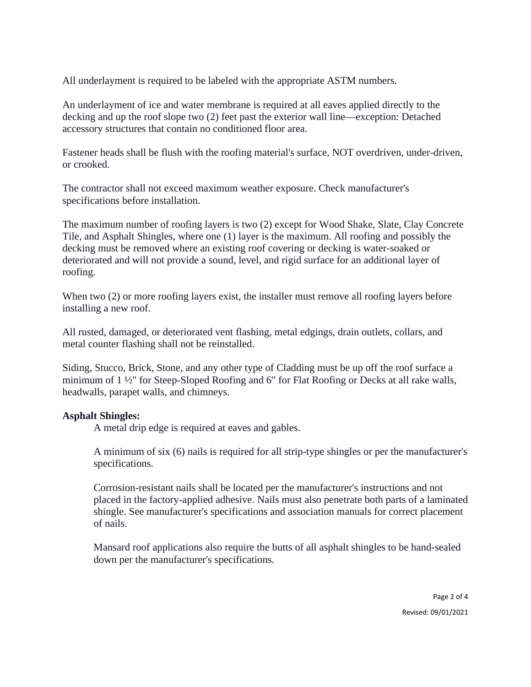All underlayment is required to be labeled with the appropriate ASTM numbers.

An underlayment of ice and water membrane is required at all eaves applied directly to the decking and up the roof slope two (2) feet past the exterior wall line—exception: Detached accessory structures that contain no conditioned floor area.

Fastener heads shall be flush with the roofing material's surface, NOT overdriven, under-driven, or crooked.

The contractor shall not exceed maximum weather exposure. Check manufacturer's specifications before installation.

The maximum number of roofing layers is two (2) except for Wood Shake, Slate, Clay Concrete Tile, and Asphalt Shingles, where one (1) layer is the maximum. All roofing and possibly the decking must be removed where an existing roof covering or decking is water-soaked or deteriorated and will not provide a sound, level, and rigid surface for an additional layer of roofing.

When two (2) or more roofing layers exist, the installer must remove all roofing layers before installing a new roof.

All rusted, damaged, or deteriorated vent flashing, metal edgings, drain outlets, collars, and metal counter flashing shall not be reinstalled.

Siding, Stucco, Brick, Stone, and any other type of Cladding must be up off the roof surface a minimum of 1 ½" for Steep-Sloped Roofing and 6" for Flat Roofing or Decks at all rake walls, headwalls, parapet walls, and chimneys.

#### **Asphalt Shingles:**

A metal drip edge is required at eaves and gables.

A minimum of six (6) nails is required for all strip-type shingles or per the manufacturer's specifications.

Corrosion-resistant nails shall be located per the manufacturer's instructions and not placed in the factory-applied adhesive. Nails must also penetrate both parts of a laminated shingle. See manufacturer's specifications and association manuals for correct placement of nails.

Mansard roof applications also require the butts of all asphalt shingles to be hand-sealed down per the manufacturer's specifications.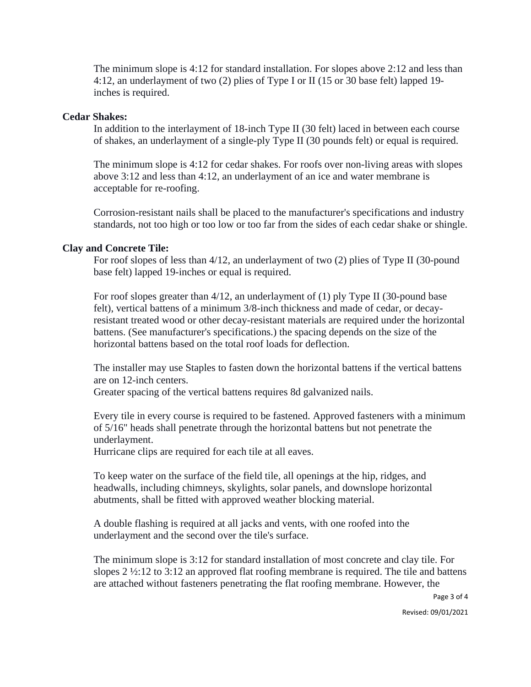The minimum slope is 4:12 for standard installation. For slopes above 2:12 and less than 4:12, an underlayment of two (2) plies of Type I or II (15 or 30 base felt) lapped 19 inches is required.

#### **Cedar Shakes:**

In addition to the interlayment of 18-inch Type II (30 felt) laced in between each course of shakes, an underlayment of a single-ply Type II (30 pounds felt) or equal is required.

The minimum slope is 4:12 for cedar shakes. For roofs over non-living areas with slopes above 3:12 and less than 4:12, an underlayment of an ice and water membrane is acceptable for re-roofing.

Corrosion-resistant nails shall be placed to the manufacturer's specifications and industry standards, not too high or too low or too far from the sides of each cedar shake or shingle.

#### **Clay and Concrete Tile:**

For roof slopes of less than 4/12, an underlayment of two (2) plies of Type II (30-pound base felt) lapped 19-inches or equal is required.

For roof slopes greater than 4/12, an underlayment of (1) ply Type II (30-pound base felt), vertical battens of a minimum 3/8-inch thickness and made of cedar, or decayresistant treated wood or other decay-resistant materials are required under the horizontal battens. (See manufacturer's specifications.) the spacing depends on the size of the horizontal battens based on the total roof loads for deflection.

The installer may use Staples to fasten down the horizontal battens if the vertical battens are on 12-inch centers.

Greater spacing of the vertical battens requires 8d galvanized nails.

Every tile in every course is required to be fastened. Approved fasteners with a minimum of 5/16" heads shall penetrate through the horizontal battens but not penetrate the underlayment.

Hurricane clips are required for each tile at all eaves.

To keep water on the surface of the field tile, all openings at the hip, ridges, and headwalls, including chimneys, skylights, solar panels, and downslope horizontal abutments, shall be fitted with approved weather blocking material.

A double flashing is required at all jacks and vents, with one roofed into the underlayment and the second over the tile's surface.

The minimum slope is 3:12 for standard installation of most concrete and clay tile. For slopes 2 ½:12 to 3:12 an approved flat roofing membrane is required. The tile and battens are attached without fasteners penetrating the flat roofing membrane. However, the

Page 3 of 4